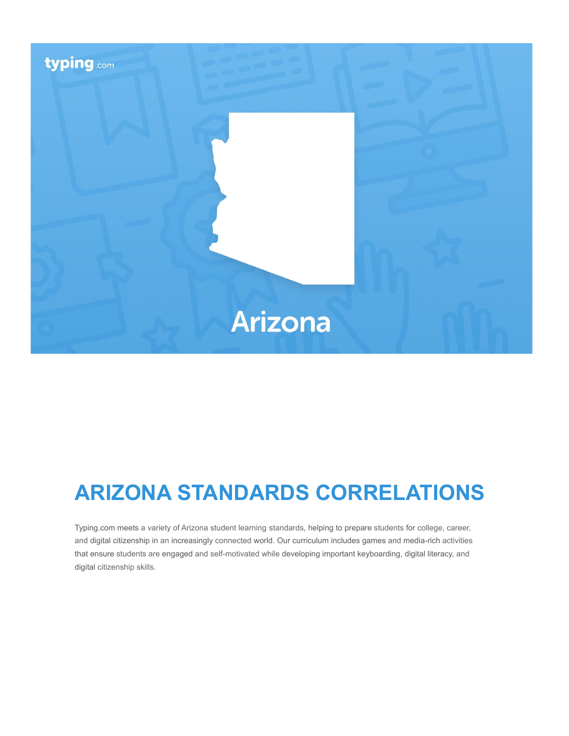

# **ARIZONA STANDARDS CORRELATIONS**

Typing.com meets a variety of Arizona student learning standards, helping to prepare students for college, career, and digital citizenship in an increasingly connected world. Our curriculum includes games and media-rich activities that ensure students are engaged and self-motivated while developing important keyboarding, digital literacy, and digital citizenship skills.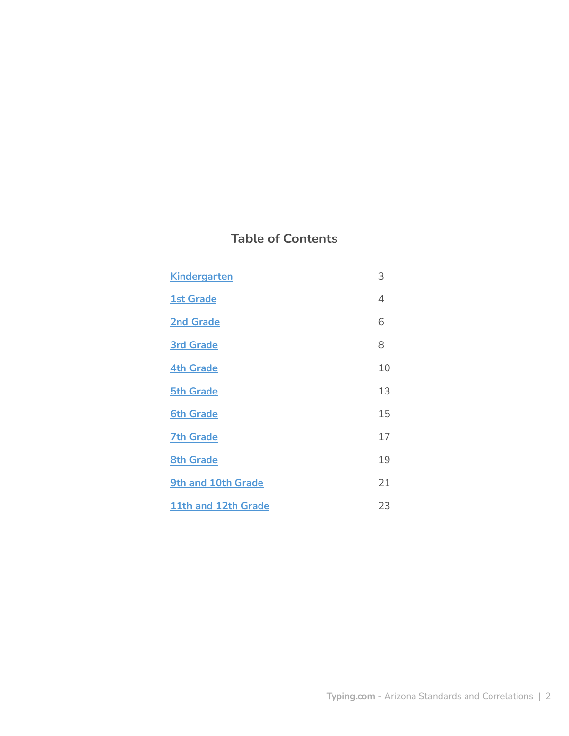# **Table of Contents**

| <b>Kindergarten</b> | 3  |
|---------------------|----|
| <b>1st Grade</b>    | 4  |
| <b>2nd Grade</b>    | 6  |
| <b>3rd Grade</b>    | 8  |
| <b>4th Grade</b>    | 10 |
| <b>5th Grade</b>    | 13 |
| <b>6th Grade</b>    | 15 |
| <b>7th Grade</b>    | 17 |
| <b>8th Grade</b>    | 19 |
| 9th and 10th Grade  | 21 |
| 11th and 12th Grade | 23 |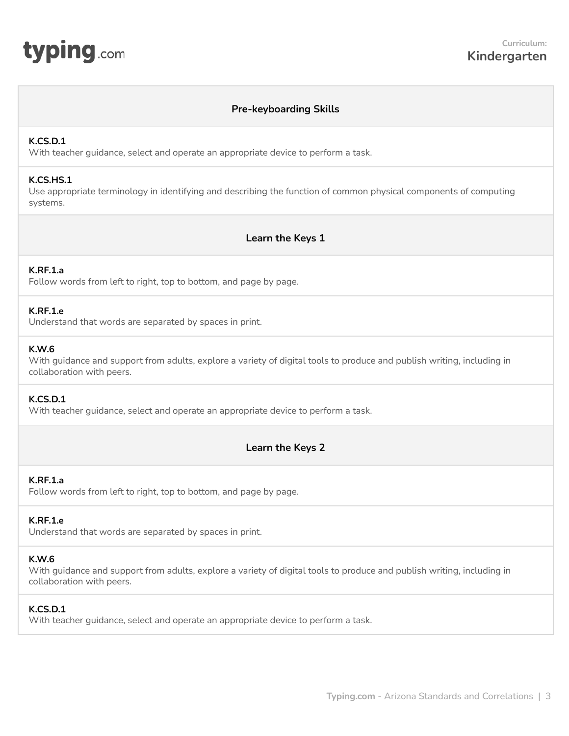# **Pre-keyboarding Skills**

#### <span id="page-2-0"></span>**K.CS.D.1**

With teacher guidance, select and operate an appropriate device to perform a task.

#### **K.CS.HS.1**

Use appropriate terminology in identifying and describing the function of common physical components of computing systems.

**Learn the Keys 1**

## **K.RF.1.a**

Follow words from left to right, top to bottom, and page by page.

#### **K.RF.1.e**

Understand that words are separated by spaces in print.

#### **K.W.6**

With guidance and support from adults, explore a variety of digital tools to produce and publish writing, including in collaboration with peers.

## **K.CS.D.1**

With teacher guidance, select and operate an appropriate device to perform a task.

# **Learn the Keys 2**

# **K.RF.1.a**

Follow words from left to right, top to bottom, and page by page.

# **K.RF.1.e**

Understand that words are separated by spaces in print.

## **K.W.6**

With guidance and support from adults, explore a variety of digital tools to produce and publish writing, including in collaboration with peers.

## **K.CS.D.1**

With teacher guidance, select and operate an appropriate device to perform a task.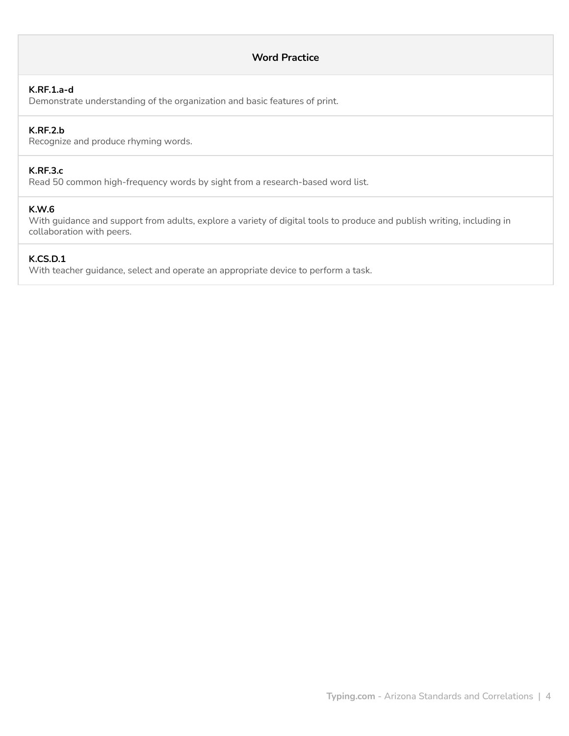# **Word Practice**

# **K.RF.1.a-d**

Demonstrate understanding of the organization and basic features of print.

#### **K.RF.2.b**

Recognize and produce rhyming words.

# **K.RF.3.c**

Read 50 common high-frequency words by sight from a research-based word list.

## **K.W.6**

With guidance and support from adults, explore a variety of digital tools to produce and publish writing, including in collaboration with peers.

#### **K.CS.D.1**

With teacher guidance, select and operate an appropriate device to perform a task.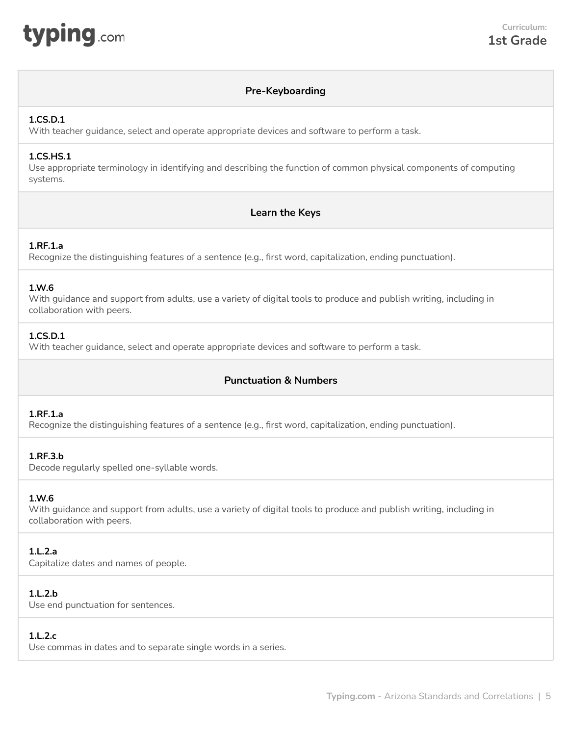<span id="page-4-0"></span>

# **Pre-Keyboarding**

# **1.CS.D.1**

With teacher guidance, select and operate appropriate devices and software to perform a task.

# **1.CS.HS.1**

Use appropriate terminology in identifying and describing the function of common physical components of computing systems.

# **Learn the Keys**

# **1.RF.1.a**

Recognize the distinguishing features of a sentence (e.g., first word, capitalization, ending punctuation).

# **1.W.6**

With guidance and support from adults, use a variety of digital tools to produce and publish writing, including in collaboration with peers.

# **1.CS.D.1**

With teacher guidance, select and operate appropriate devices and software to perform a task.

# **Punctuation & Numbers**

# **1.RF.1.a**

Recognize the distinguishing features of a sentence (e.g., first word, capitalization, ending punctuation).

## **1.RF.3.b**

Decode regularly spelled one-syllable words.

# **1.W.6**

With guidance and support from adults, use a variety of digital tools to produce and publish writing, including in collaboration with peers.

# **1.L.2.a**

Capitalize dates and names of people.

# **1.L.2.b**

Use end punctuation for sentences.

# **1.L.2.c**

Use commas in dates and to separate single words in a series.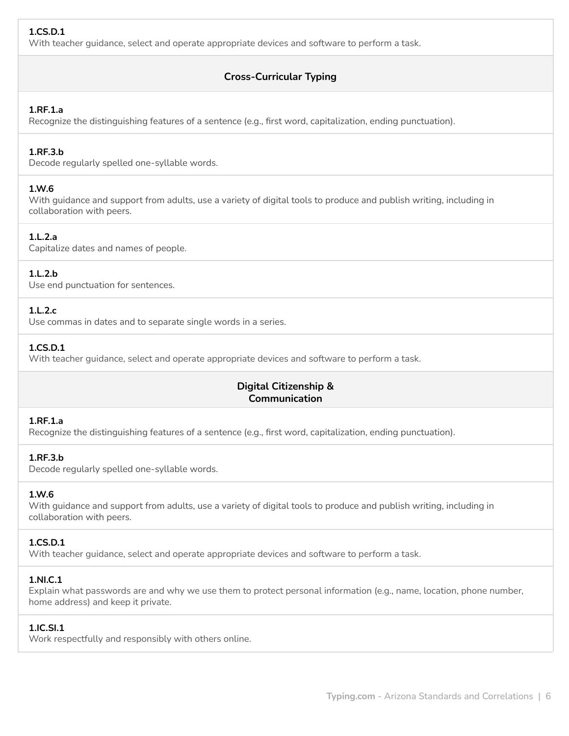# **1.CS.D.1**

With teacher guidance, select and operate appropriate devices and software to perform a task.

# **Cross-Curricular Typing**

# **1.RF.1.a**

Recognize the distinguishing features of a sentence (e.g., first word, capitalization, ending punctuation).

# **1.RF.3.b**

Decode regularly spelled one-syllable words.

#### **1.W.6**

With guidance and support from adults, use a variety of digital tools to produce and publish writing, including in collaboration with peers.

# **1.L.2.a**

Capitalize dates and names of people.

## **1.L.2.b**

Use end punctuation for sentences.

## **1.L.2.c**

Use commas in dates and to separate single words in a series.

# **1.CS.D.1**

With teacher guidance, select and operate appropriate devices and software to perform a task.

# **Digital Citizenship & Communication**

# **1.RF.1.a**

Recognize the distinguishing features of a sentence (e.g., first word, capitalization, ending punctuation).

## **1.RF.3.b**

Decode regularly spelled one-syllable words.

## **1.W.6**

With guidance and support from adults, use a variety of digital tools to produce and publish writing, including in collaboration with peers.

## **1.CS.D.1**

With teacher guidance, select and operate appropriate devices and software to perform a task.

## **1.NI.C.1**

Explain what passwords are and why we use them to protect personal information (e.g., name, location, phone number, home address) and keep it private.

## **1.IC.SI.1**

Work respectfully and responsibly with others online.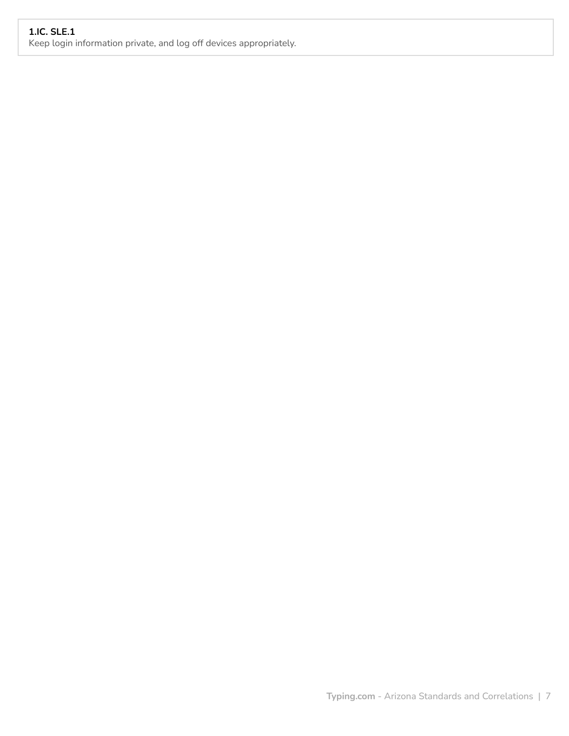# **1.IC. SLE.1**

Keep login information private, and log off devices appropriately.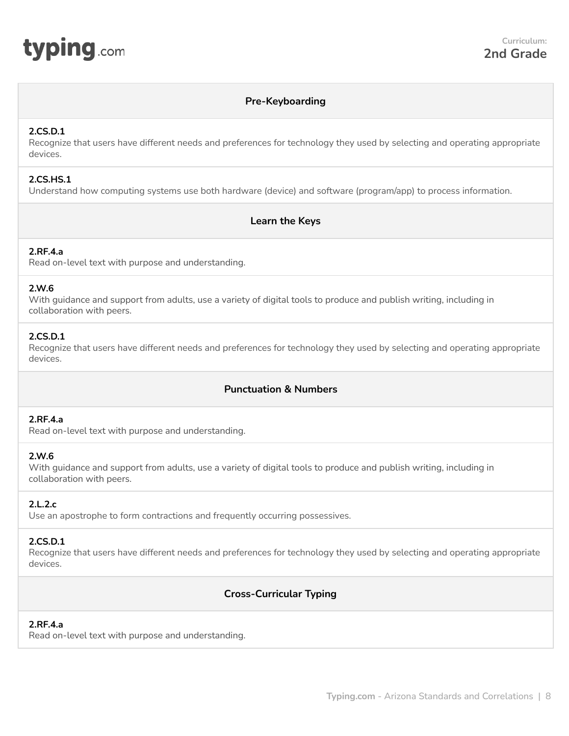<span id="page-7-0"></span>

# **Pre-Keyboarding**

## **2.CS.D.1**

Recognize that users have different needs and preferences for technology they used by selecting and operating appropriate devices.

## **2.CS.HS.1**

Understand how computing systems use both hardware (device) and software (program/app) to process information.

# **Learn the Keys**

# **2.RF.4.a**

Read on-level text with purpose and understanding.

## **2.W.6**

With guidance and support from adults, use a variety of digital tools to produce and publish writing, including in collaboration with peers.

#### **2.CS.D.1**

Recognize that users have different needs and preferences for technology they used by selecting and operating appropriate devices.

# **Punctuation & Numbers**

# **2.RF.4.a**

Read on-level text with purpose and understanding.

#### **2.W.6**

With guidance and support from adults, use a variety of digital tools to produce and publish writing, including in collaboration with peers.

## **2.L.2.c**

Use an apostrophe to form contractions and frequently occurring possessives.

#### **2.CS.D.1**

Recognize that users have different needs and preferences for technology they used by selecting and operating appropriate devices.

# **Cross-Curricular Typing**

## **2.RF.4.a**

Read on-level text with purpose and understanding.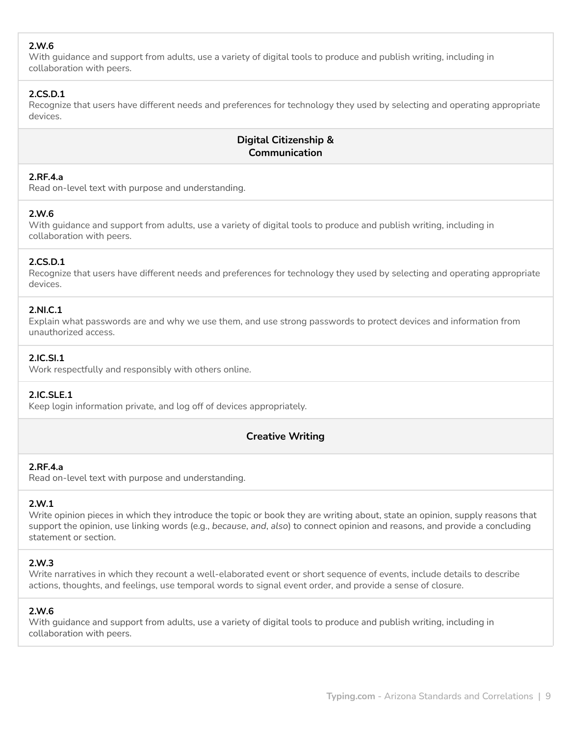# **2.W.6**

With guidance and support from adults, use a variety of digital tools to produce and publish writing, including in collaboration with peers.

# **2.CS.D.1**

Recognize that users have different needs and preferences for technology they used by selecting and operating appropriate devices.

# **Digital Citizenship & Communication**

# **2.RF.4.a**

Read on-level text with purpose and understanding.

# **2.W.6**

With guidance and support from adults, use a variety of digital tools to produce and publish writing, including in collaboration with peers.

# **2.CS.D.1**

Recognize that users have different needs and preferences for technology they used by selecting and operating appropriate devices.

# **2.NI.C.1**

Explain what passwords are and why we use them, and use strong passwords to protect devices and information from unauthorized access.

# **2.IC.SI.1**

Work respectfully and responsibly with others online.

## **2.IC.SLE.1**

Keep login information private, and log off of devices appropriately.

# **Creative Writing**

# **2.RF.4.a**

Read on-level text with purpose and understanding.

# **2.W.1**

Write opinion pieces in which they introduce the topic or book they are writing about, state an opinion, supply reasons that support the opinion, use linking words (e.g., *because*, *and*, *also*) to connect opinion and reasons, and provide a concluding statement or section.

# **2.W.3**

Write narratives in which they recount a well-elaborated event or short sequence of events, include details to describe actions, thoughts, and feelings, use temporal words to signal event order, and provide a sense of closure.

# **2.W.6**

With guidance and support from adults, use a variety of digital tools to produce and publish writing, including in collaboration with peers.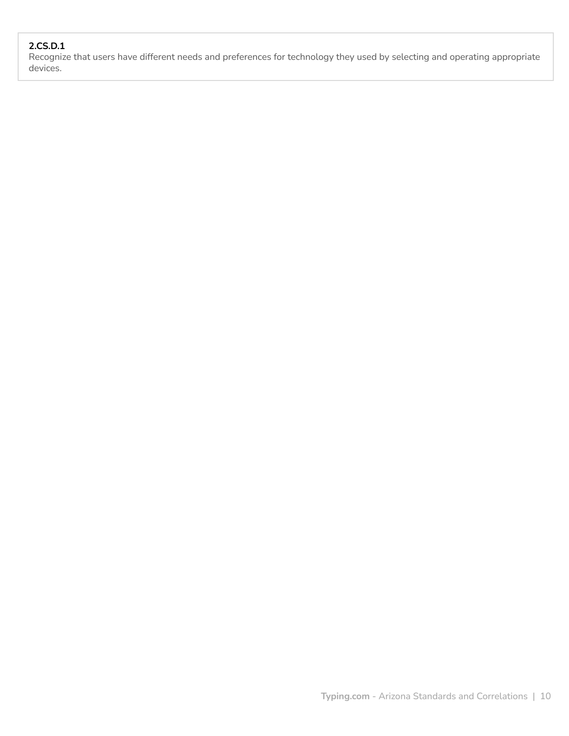# **2.CS.D.1**

Recognize that users have different needs and preferences for technology they used by selecting and operating appropriate devices.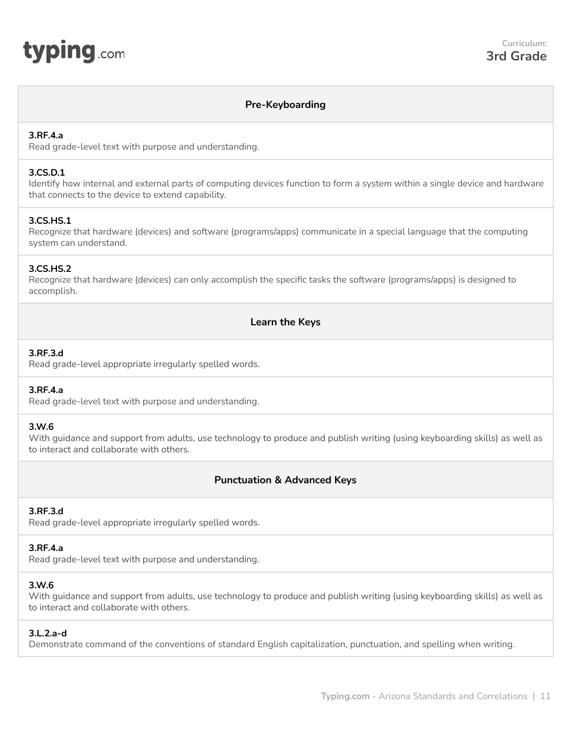# <span id="page-10-0"></span>typing.com

# **Pre-Keyboarding**

# **3.RF.4.a**

Read grade-level text with purpose and understanding.

## **3.CS.D.1**

Identify how internal and external parts of computing devices function to form a system within a single device and hardware that connects to the device to extend capability.

# **3.CS.HS.1**

Recognize that hardware (devices) and software (programs/apps) communicate in a special language that the computing system can understand.

## **3.CS.HS.2**

Recognize that hardware (devices) can only accomplish the specific tasks the software (programs/apps) is designed to accomplish.

# **Learn the Keys**

# **3.RF.3.d**

Read grade-level appropriate irregularly spelled words.

# **3.RF.4.a**

Read grade-level text with purpose and understanding.

## **3.W.6**

With guidance and support from adults, use technology to produce and publish writing (using keyboarding skills) as well as to interact and collaborate with others.

# **Punctuation & Advanced Keys**

# **3.RF.3.d**

Read grade-level appropriate irregularly spelled words.

## **3.RF.4.a**

Read grade-level text with purpose and understanding.

## **3.W.6**

With guidance and support from adults, use technology to produce and publish writing (using keyboarding skills) as well as to interact and collaborate with others.

## **3.L.2.a-d**

Demonstrate command of the conventions of standard English capitalization, punctuation, and spelling when writing.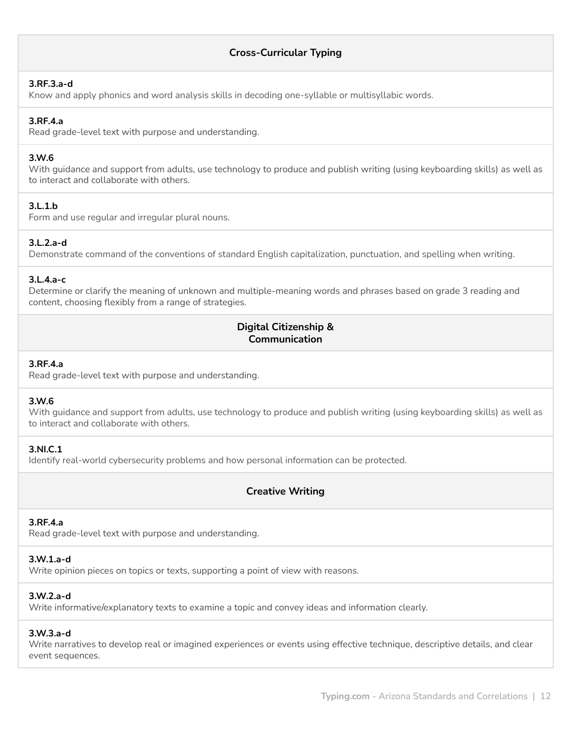# **Cross-Curricular Typing**

#### **3.RF.3.a-d**

Know and apply phonics and word analysis skills in decoding one-syllable or multisyllabic words.

#### **3.RF.4.a**

Read grade-level text with purpose and understanding.

#### **3.W.6**

With guidance and support from adults, use technology to produce and publish writing (using keyboarding skills) as well as to interact and collaborate with others.

## **3.L.1.b**

Form and use regular and irregular plural nouns.

## **3.L.2.a-d**

Demonstrate command of the conventions of standard English capitalization, punctuation, and spelling when writing.

#### **3.L.4.a-c**

Determine or clarify the meaning of unknown and multiple-meaning words and phrases based on grade 3 reading and content, choosing flexibly from a range of strategies.

# **Digital Citizenship & Communication**

## **3.RF.4.a**

Read grade-level text with purpose and understanding.

# **3.W.6**

With guidance and support from adults, use technology to produce and publish writing (using keyboarding skills) as well as to interact and collaborate with others.

#### **3.NI.C.1**

Identify real-world cybersecurity problems and how personal information can be protected.

# **Creative Writing**

## **3.RF.4.a**

Read grade-level text with purpose and understanding.

## **3.W.1.a-d**

Write opinion pieces on topics or texts, supporting a point of view with reasons.

## **3.W.2.a-d**

Write informative/explanatory texts to examine a topic and convey ideas and information clearly.

#### **3.W.3.a-d**

Write narratives to develop real or imagined experiences or events using effective technique, descriptive details, and clear event sequences.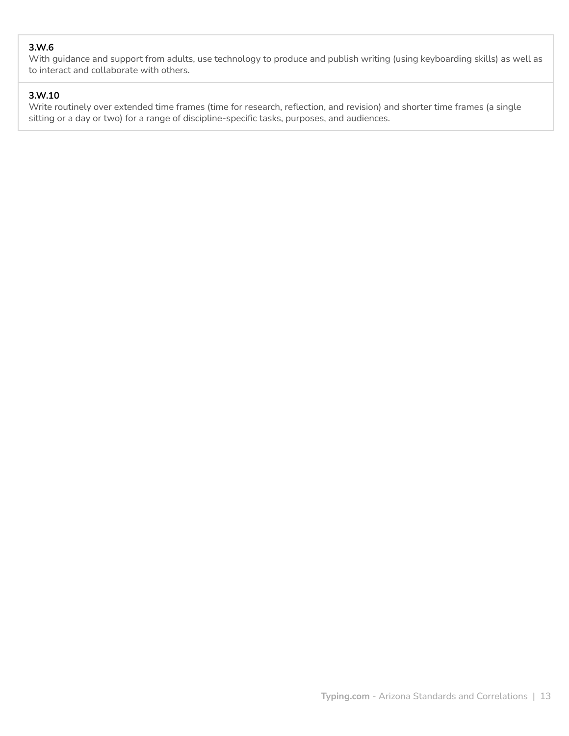# **3.W.6**

With guidance and support from adults, use technology to produce and publish writing (using keyboarding skills) as well as to interact and collaborate with others.

# **3.W.10**

Write routinely over extended time frames (time for research, reflection, and revision) and shorter time frames (a single sitting or a day or two) for a range of discipline-specific tasks, purposes, and audiences.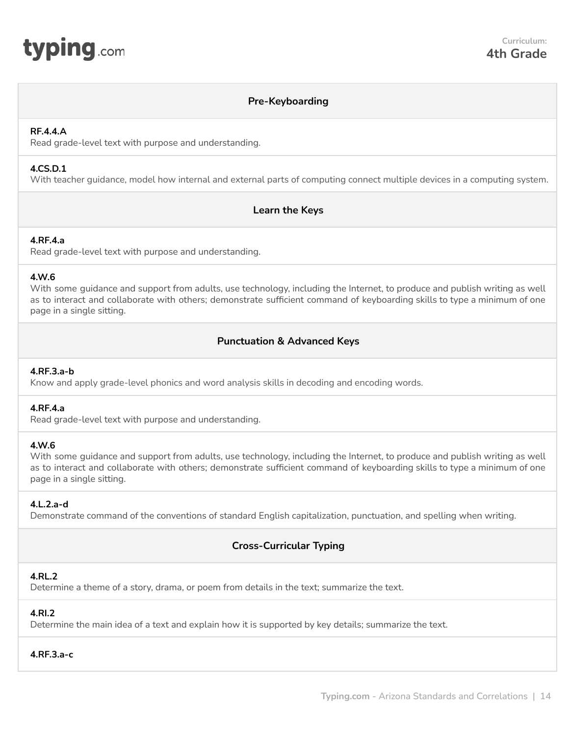# **Pre-Keyboarding**

# <span id="page-13-0"></span>**RF.4.4.A**

Read grade-level text with purpose and understanding.

# **4.CS.D.1**

With teacher guidance, model how internal and external parts of computing connect multiple devices in a computing system.

# **Learn the Keys**

## **4.RF.4.a**

Read grade-level text with purpose and understanding.

## **4.W.6**

With some guidance and support from adults, use technology, including the Internet, to produce and publish writing as well as to interact and collaborate with others; demonstrate sufficient command of keyboarding skills to type a minimum of one page in a single sitting.

# **Punctuation & Advanced Keys**

## **4.RF.3.a-b**

Know and apply grade-level phonics and word analysis skills in decoding and encoding words.

## **4.RF.4.a**

Read grade-level text with purpose and understanding.

## **4.W.6**

With some guidance and support from adults, use technology, including the Internet, to produce and publish writing as well as to interact and collaborate with others; demonstrate sufficient command of keyboarding skills to type a minimum of one page in a single sitting.

## **4.L.2.a-d**

Demonstrate command of the conventions of standard English capitalization, punctuation, and spelling when writing.

# **Cross-Curricular Typing**

## **4.RL.2**

Determine a theme of a story, drama, or poem from details in the text; summarize the text.

# **4.RI.2**

Determine the main idea of a text and explain how it is supported by key details; summarize the text.

# **4.RF.3.a-c**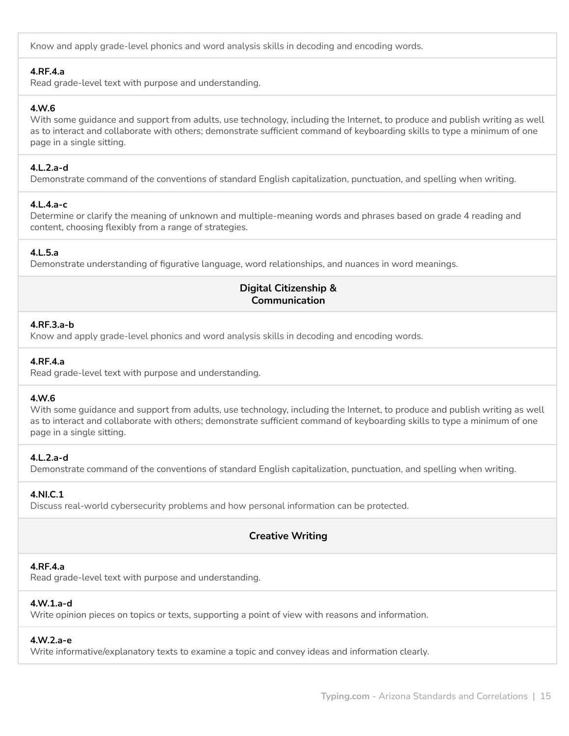Know and apply grade-level phonics and word analysis skills in decoding and encoding words.

# **4.RF.4.a**

Read grade-level text with purpose and understanding.

# **4.W.6**

With some guidance and support from adults, use technology, including the Internet, to produce and publish writing as well as to interact and collaborate with others; demonstrate sufficient command of keyboarding skills to type a minimum of one page in a single sitting.

# **4.L.2.a-d**

Demonstrate command of the conventions of standard English capitalization, punctuation, and spelling when writing.

# **4.L.4.a-c**

Determine or clarify the meaning of unknown and multiple-meaning words and phrases based on grade 4 reading and content, choosing flexibly from a range of strategies.

# **4.L.5.a**

Demonstrate understanding of figurative language, word relationships, and nuances in word meanings.

# **Digital Citizenship & Communication**

#### **4.RF.3.a-b**

Know and apply grade-level phonics and word analysis skills in decoding and encoding words.

## **4.RF.4.a**

Read grade-level text with purpose and understanding.

# **4.W.6**

With some guidance and support from adults, use technology, including the Internet, to produce and publish writing as well as to interact and collaborate with others; demonstrate sufficient command of keyboarding skills to type a minimum of one page in a single sitting.

## **4.L.2.a-d**

Demonstrate command of the conventions of standard English capitalization, punctuation, and spelling when writing.

## **4.NI.C.1**

Discuss real-world cybersecurity problems and how personal information can be protected.

# **Creative Writing**

## **4.RF.4.a**

Read grade-level text with purpose and understanding.

# **4.W.1.a-d**

Write opinion pieces on topics or texts, supporting a point of view with reasons and information.

# **4.W.2.a-e**

Write informative/explanatory texts to examine a topic and convey ideas and information clearly.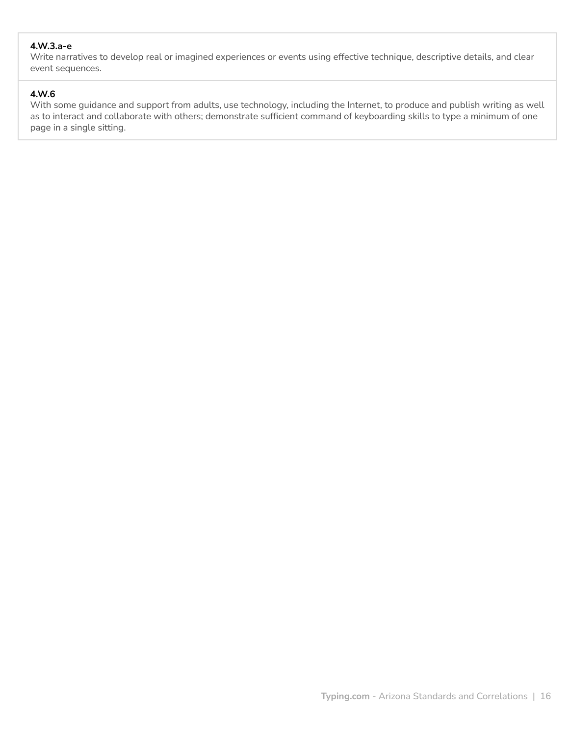# **4.W.3.a-e**

Write narratives to develop real or imagined experiences or events using effective technique, descriptive details, and clear event sequences.

# **4.W.6**

With some guidance and support from adults, use technology, including the Internet, to produce and publish writing as well as to interact and collaborate with others; demonstrate sufficient command of keyboarding skills to type a minimum of one page in a single sitting.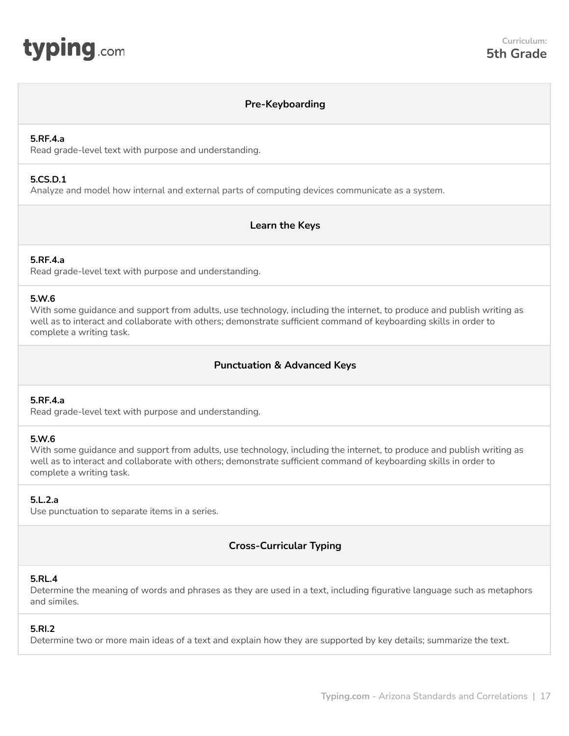<span id="page-16-0"></span>

# **Pre-Keyboarding**

#### **5.RF.4.a**

Read grade-level text with purpose and understanding.

#### **5.CS.D.1**

Analyze and model how internal and external parts of computing devices communicate as a system.

# **Learn the Keys**

## **5.RF.4.a**

Read grade-level text with purpose and understanding.

## **5.W.6**

With some guidance and support from adults, use technology, including the internet, to produce and publish writing as well as to interact and collaborate with others; demonstrate sufficient command of keyboarding skills in order to complete a writing task.

# **Punctuation & Advanced Keys**

# **5.RF.4.a**

Read grade-level text with purpose and understanding.

## **5.W.6**

With some guidance and support from adults, use technology, including the internet, to produce and publish writing as well as to interact and collaborate with others; demonstrate sufficient command of keyboarding skills in order to complete a writing task.

## **5.L.2.a**

Use punctuation to separate items in a series.

# **Cross-Curricular Typing**

## **5.RL.4**

Determine the meaning of words and phrases as they are used in a text, including figurative language such as metaphors and similes.

## **5.RI.2**

Determine two or more main ideas of a text and explain how they are supported by key details; summarize the text.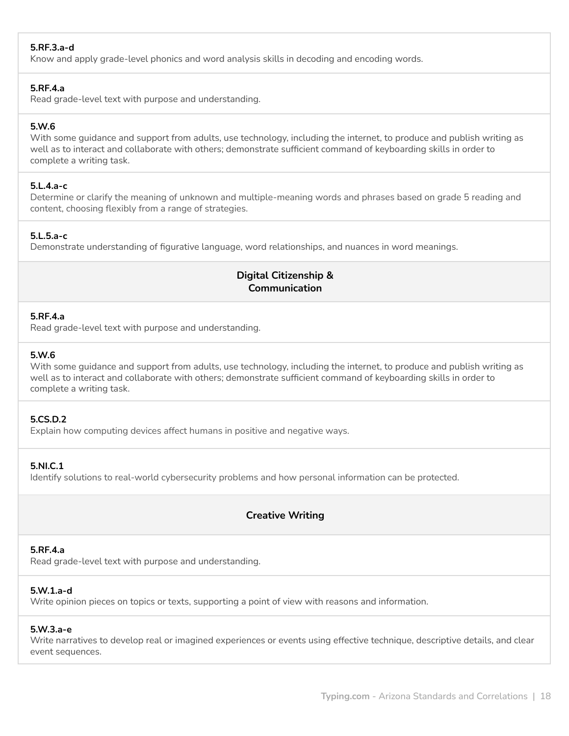# **5.RF.3.a-d**

Know and apply grade-level phonics and word analysis skills in decoding and encoding words.

#### **5.RF.4.a**

Read grade-level text with purpose and understanding.

# **5.W.6**

With some guidance and support from adults, use technology, including the internet, to produce and publish writing as well as to interact and collaborate with others; demonstrate sufficient command of keyboarding skills in order to complete a writing task.

## **5.L.4.a-c**

Determine or clarify the meaning of unknown and multiple-meaning words and phrases based on grade 5 reading and content, choosing flexibly from a range of strategies.

## **5.L.5.a-c**

Demonstrate understanding of figurative language, word relationships, and nuances in word meanings.

# **Digital Citizenship & Communication**

## **5.RF.4.a**

Read grade-level text with purpose and understanding.

## **5.W.6**

With some guidance and support from adults, use technology, including the internet, to produce and publish writing as well as to interact and collaborate with others; demonstrate sufficient command of keyboarding skills in order to complete a writing task.

# **5.CS.D.2**

Explain how computing devices affect humans in positive and negative ways.

## **5.NI.C.1**

Identify solutions to real-world cybersecurity problems and how personal information can be protected.

# **Creative Writing**

# **5.RF.4.a**

Read grade-level text with purpose and understanding.

# **5.W.1.a-d**

Write opinion pieces on topics or texts, supporting a point of view with reasons and information.

# **5.W.3.a-e**

Write narratives to develop real or imagined experiences or events using effective technique, descriptive details, and clear event sequences.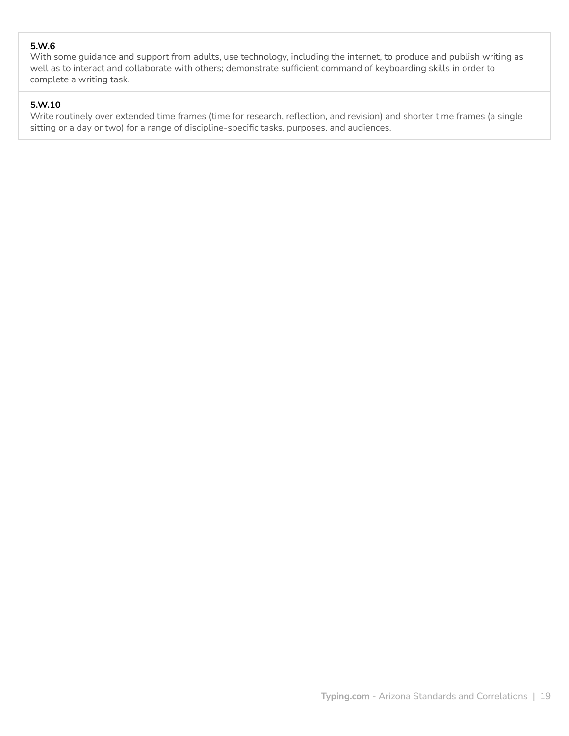# **5.W.6**

With some guidance and support from adults, use technology, including the internet, to produce and publish writing as well as to interact and collaborate with others; demonstrate sufficient command of keyboarding skills in order to complete a writing task.

# **5.W.10**

Write routinely over extended time frames (time for research, reflection, and revision) and shorter time frames (a single sitting or a day or two) for a range of discipline-specific tasks, purposes, and audiences.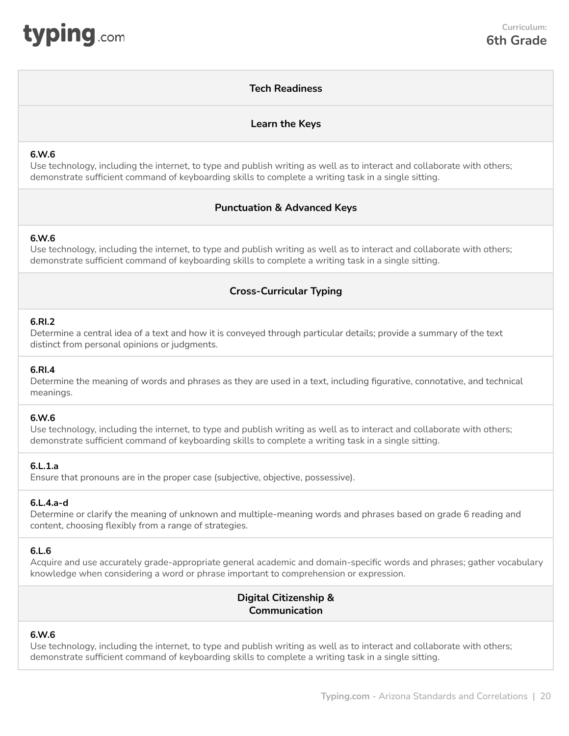# **Tech Readiness**

# **Learn the Keys**

# <span id="page-19-0"></span>**6.W.6**

Use technology, including the internet, to type and publish writing as well as to interact and collaborate with others; demonstrate sufficient command of keyboarding skills to complete a writing task in a single sitting.

# **Punctuation & Advanced Keys**

## **6.W.6**

Use technology, including the internet, to type and publish writing as well as to interact and collaborate with others; demonstrate sufficient command of keyboarding skills to complete a writing task in a single sitting.

# **Cross-Curricular Typing**

#### **6.RI.2**

Determine a central idea of a text and how it is conveyed through particular details; provide a summary of the text distinct from personal opinions or judgments.

#### **6.RI.4**

Determine the meaning of words and phrases as they are used in a text, including figurative, connotative, and technical meanings.

#### **6.W.6**

Use technology, including the internet, to type and publish writing as well as to interact and collaborate with others; demonstrate sufficient command of keyboarding skills to complete a writing task in a single sitting.

## **6.L.1.a**

Ensure that pronouns are in the proper case (subjective, objective, possessive).

## **6.L.4.a-d**

Determine or clarify the meaning of unknown and multiple-meaning words and phrases based on grade 6 reading and content, choosing flexibly from a range of strategies.

## **6.L.6**

Acquire and use accurately grade‐appropriate general academic and domain‐specific words and phrases; gather vocabulary knowledge when considering a word or phrase important to comprehension or expression.

# **Digital Citizenship & Communication**

# **6.W.6**

Use technology, including the internet, to type and publish writing as well as to interact and collaborate with others; demonstrate sufficient command of keyboarding skills to complete a writing task in a single sitting.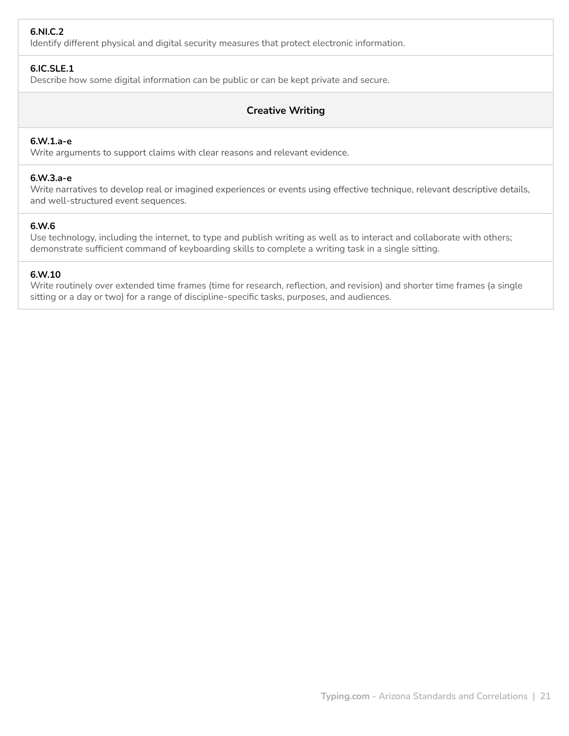# **6.NI.C.2**

Identify different physical and digital security measures that protect electronic information.

# **6.IC.SLE.1**

Describe how some digital information can be public or can be kept private and secure.

# **Creative Writing**

#### **6.W.1.a-e**

Write arguments to support claims with clear reasons and relevant evidence.

#### **6.W.3.a-e**

Write narratives to develop real or imagined experiences or events using effective technique, relevant descriptive details, and well-structured event sequences.

#### **6.W.6**

Use technology, including the internet, to type and publish writing as well as to interact and collaborate with others; demonstrate sufficient command of keyboarding skills to complete a writing task in a single sitting.

#### **6.W.10**

Write routinely over extended time frames (time for research, reflection, and revision) and shorter time frames (a single sitting or a day or two) for a range of discipline‐specific tasks, purposes, and audiences.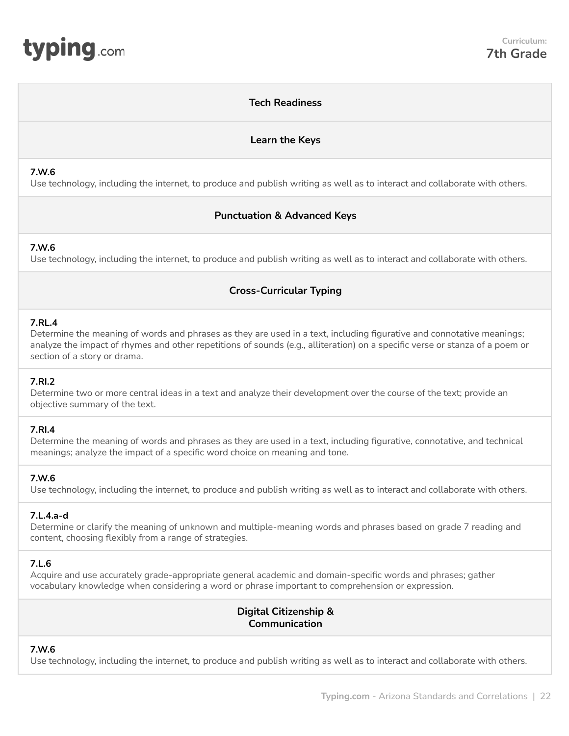# **Tech Readiness**

# **Learn the Keys**

#### <span id="page-21-0"></span>**7.W.6**

Use technology, including the internet, to produce and publish writing as well as to interact and collaborate with others.

# **Punctuation & Advanced Keys**

# **7.W.6**

Use technology, including the internet, to produce and publish writing as well as to interact and collaborate with others.

# **Cross-Curricular Typing**

# **7.RL.4**

Determine the meaning of words and phrases as they are used in a text, including figurative and connotative meanings; analyze the impact of rhymes and other repetitions of sounds (e.g., alliteration) on a specific verse or stanza of a poem or section of a story or drama.

## **7.RI.2**

Determine two or more central ideas in a text and analyze their development over the course of the text; provide an objective summary of the text.

## **7.RI.4**

Determine the meaning of words and phrases as they are used in a text, including figurative, connotative, and technical meanings; analyze the impact of a specific word choice on meaning and tone.

## **7.W.6**

Use technology, including the internet, to produce and publish writing as well as to interact and collaborate with others.

# **7.L.4.a-d**

Determine or clarify the meaning of unknown and multiple-meaning words and phrases based on grade 7 reading and content, choosing flexibly from a range of strategies.

## **7.L.6**

Acquire and use accurately grade‐appropriate general academic and domain‐specific words and phrases; gather vocabulary knowledge when considering a word or phrase important to comprehension or expression.

# **Digital Citizenship & Communication**

# **7.W.6**

Use technology, including the internet, to produce and publish writing as well as to interact and collaborate with others.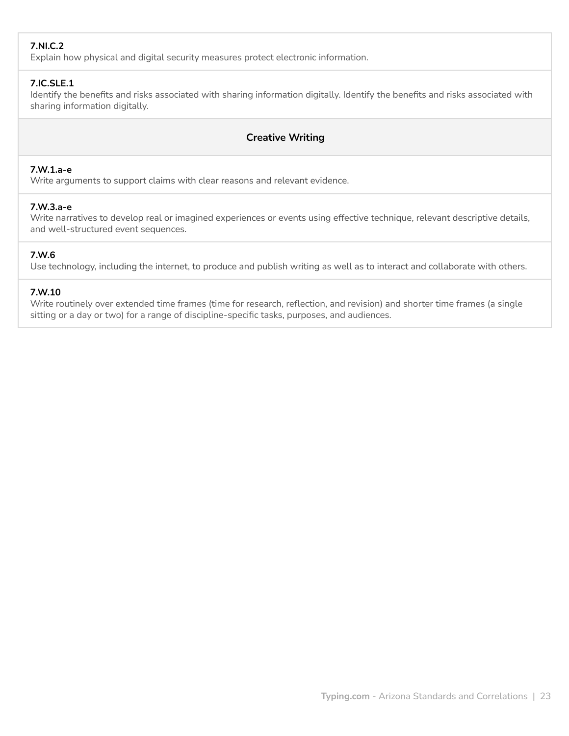# **7.NI.C.2**

Explain how physical and digital security measures protect electronic information.

# **7.IC.SLE.1**

Identify the benefits and risks associated with sharing information digitally. Identify the benefits and risks associated with sharing information digitally.

# **Creative Writing**

# **7.W.1.a-e**

Write arguments to support claims with clear reasons and relevant evidence.

# **7.W.3.a-e**

Write narratives to develop real or imagined experiences or events using effective technique, relevant descriptive details, and well-structured event sequences.

# **7.W.6**

Use technology, including the internet, to produce and publish writing as well as to interact and collaborate with others.

# **7.W.10**

Write routinely over extended time frames (time for research, reflection, and revision) and shorter time frames (a single sitting or a day or two) for a range of discipline‐specific tasks, purposes, and audiences.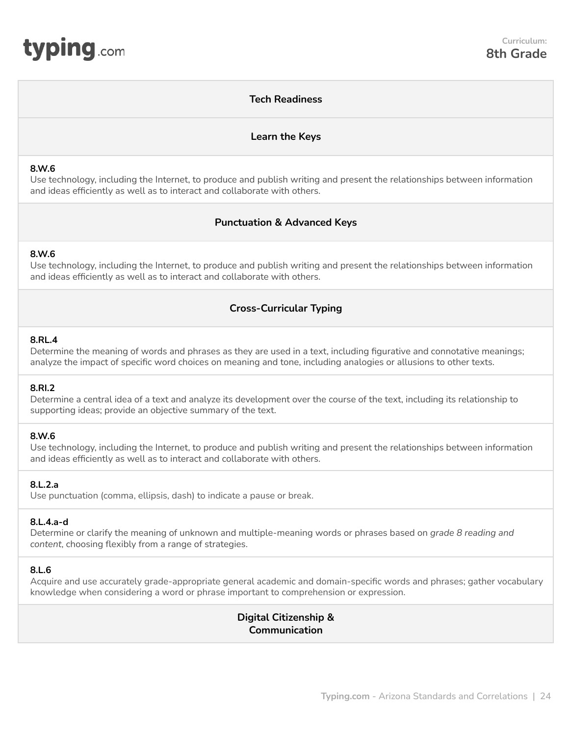# **Tech Readiness**

# **Learn the Keys**

#### <span id="page-23-0"></span>**8.W.6**

Use technology, including the Internet, to produce and publish writing and present the relationships between information and ideas efficiently as well as to interact and collaborate with others.

# **Punctuation & Advanced Keys**

## **8.W.6**

Use technology, including the Internet, to produce and publish writing and present the relationships between information and ideas efficiently as well as to interact and collaborate with others.

# **Cross-Curricular Typing**

#### **8.RL.4**

Determine the meaning of words and phrases as they are used in a text, including figurative and connotative meanings; analyze the impact of specific word choices on meaning and tone, including analogies or allusions to other texts.

#### **8.RI.2**

Determine a central idea of a text and analyze its development over the course of the text, including its relationship to supporting ideas; provide an objective summary of the text.

## **8.W.6**

Use technology, including the Internet, to produce and publish writing and present the relationships between information and ideas efficiently as well as to interact and collaborate with others.

## **8.L.2.a**

Use punctuation (comma, ellipsis, dash) to indicate a pause or break.

## **8.L.4.a-d**

Determine or clarify the meaning of unknown and multiple-meaning words or phrases based on *grade 8 reading and content*, choosing flexibly from a range of strategies.

#### **8.L.6**

Acquire and use accurately grade‐appropriate general academic and domain‐specific words and phrases; gather vocabulary knowledge when considering a word or phrase important to comprehension or expression.

> **Digital Citizenship & Communication**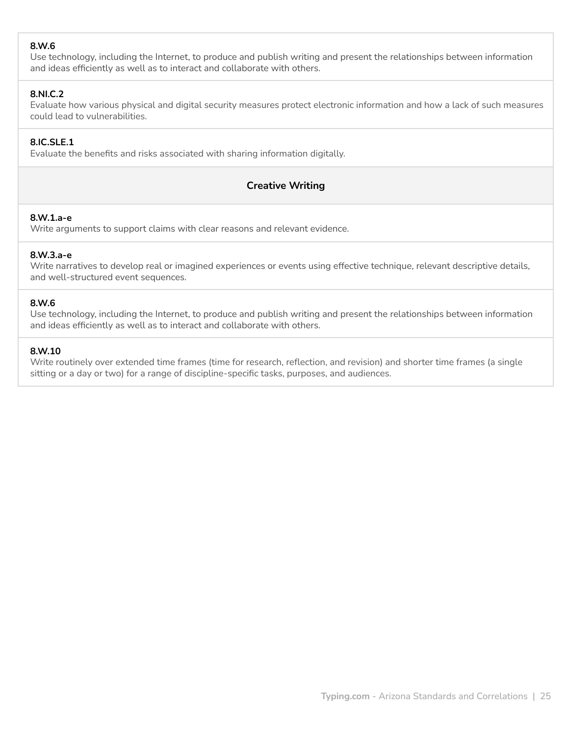# **8.W.6**

Use technology, including the Internet, to produce and publish writing and present the relationships between information and ideas efficiently as well as to interact and collaborate with others.

# **8.NI.C.2**

Evaluate how various physical and digital security measures protect electronic information and how a lack of such measures could lead to vulnerabilities.

# **8.IC.SLE.1**

Evaluate the benefits and risks associated with sharing information digitally.

# **Creative Writing**

# **8.W.1.a-e**

Write arguments to support claims with clear reasons and relevant evidence.

# **8.W.3.a-e**

Write narratives to develop real or imagined experiences or events using effective technique, relevant descriptive details, and well-structured event sequences.

# **8.W.6**

Use technology, including the Internet, to produce and publish writing and present the relationships between information and ideas efficiently as well as to interact and collaborate with others.

# **8.W.10**

Write routinely over extended time frames (time for research, reflection, and revision) and shorter time frames (a single sitting or a day or two) for a range of discipline‐specific tasks, purposes, and audiences.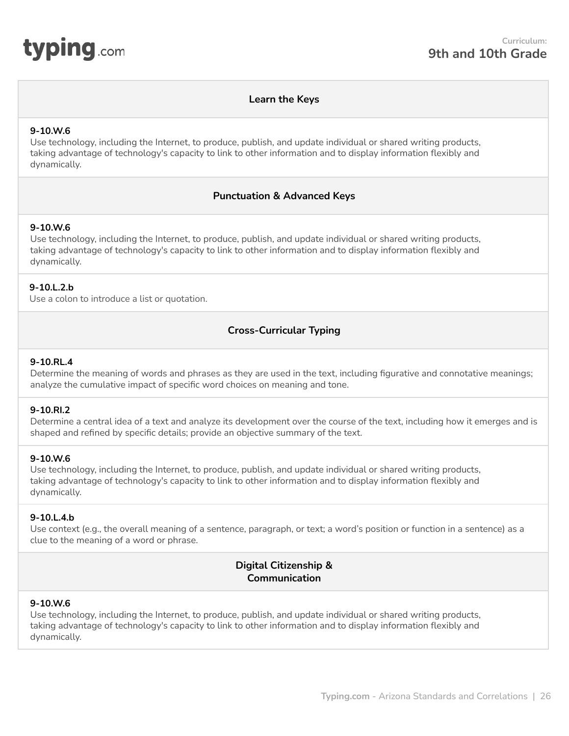<span id="page-25-0"></span>

#### **Learn the Keys**

#### **9-10.W.6**

Use technology, including the Internet, to produce, publish, and update individual or shared writing products, taking advantage of technology's capacity to link to other information and to display information flexibly and dynamically.

## **Punctuation & Advanced Keys**

## **9-10.W.6**

Use technology, including the Internet, to produce, publish, and update individual or shared writing products, taking advantage of technology's capacity to link to other information and to display information flexibly and dynamically.

#### **9-10.L.2.b**

Use a colon to introduce a list or quotation.

# **Cross-Curricular Typing**

#### **9-10.RL.4**

Determine the meaning of words and phrases as they are used in the text, including figurative and connotative meanings; analyze the cumulative impact of specific word choices on meaning and tone.

#### **9-10.RI.2**

Determine a central idea of a text and analyze its development over the course of the text, including how it emerges and is shaped and refined by specific details; provide an objective summary of the text.

#### **9-10.W.6**

Use technology, including the Internet, to produce, publish, and update individual or shared writing products, taking advantage of technology's capacity to link to other information and to display information flexibly and dynamically.

#### **9-10.L.4.b**

Use context (e.g., the overall meaning of a sentence, paragraph, or text; a word's position or function in a sentence) as a clue to the meaning of a word or phrase.

# **Digital Citizenship & Communication**

#### **9-10.W.6**

Use technology, including the Internet, to produce, publish, and update individual or shared writing products, taking advantage of technology's capacity to link to other information and to display information flexibly and dynamically.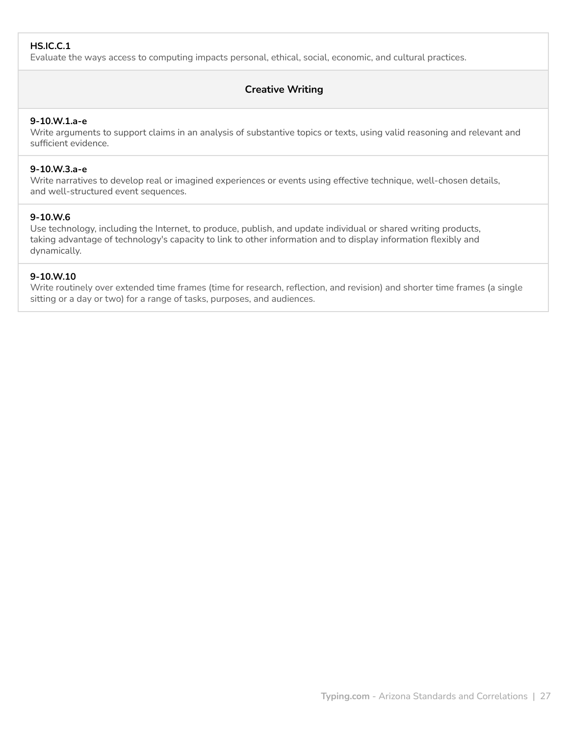# **HS.IC.C.1**

Evaluate the ways access to computing impacts personal, ethical, social, economic, and cultural practices.

# **Creative Writing**

#### **9-10.W.1.a-e**

Write arguments to support claims in an analysis of substantive topics or texts, using valid reasoning and relevant and sufficient evidence.

#### **9-10.W.3.a-e**

Write narratives to develop real or imagined experiences or events using effective technique, well-chosen details, and well-structured event sequences.

#### **9-10.W.6**

Use technology, including the Internet, to produce, publish, and update individual or shared writing products, taking advantage of technology's capacity to link to other information and to display information flexibly and dynamically.

#### **9-10.W.10**

Write routinely over extended time frames (time for research, reflection, and revision) and shorter time frames (a single sitting or a day or two) for a range of tasks, purposes, and audiences.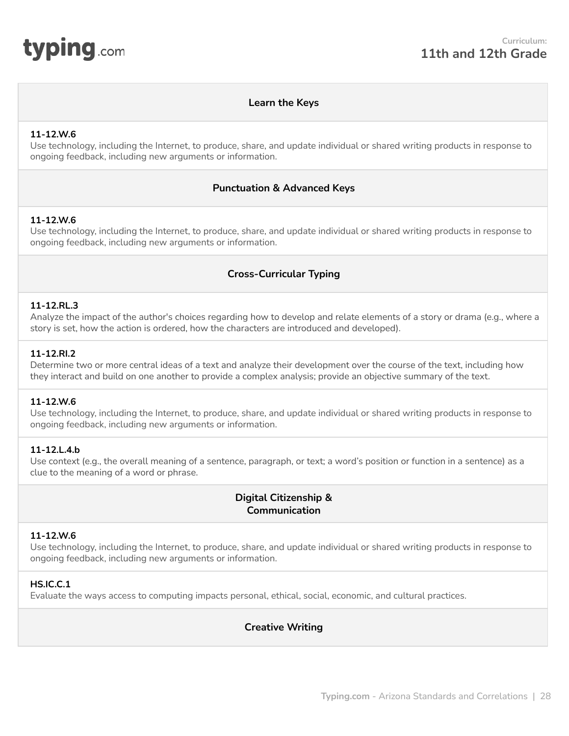<span id="page-27-0"></span>

# **Learn the Keys**

#### **11-12.W.6**

Use technology, including the Internet, to produce, share, and update individual or shared writing products in response to ongoing feedback, including new arguments or information.

## **Punctuation & Advanced Keys**

## **11-12.W.6**

Use technology, including the Internet, to produce, share, and update individual or shared writing products in response to ongoing feedback, including new arguments or information.

# **Cross-Curricular Typing**

#### **11-12.RL.3**

Analyze the impact of the author's choices regarding how to develop and relate elements of a story or drama (e.g., where a story is set, how the action is ordered, how the characters are introduced and developed).

#### **11-12.RI.2**

Determine two or more central ideas of a text and analyze their development over the course of the text, including how they interact and build on one another to provide a complex analysis; provide an objective summary of the text.

#### **11-12.W.6**

Use technology, including the Internet, to produce, share, and update individual or shared writing products in response to ongoing feedback, including new arguments or information.

## **11-12.L.4.b**

Use context (e.g., the overall meaning of a sentence, paragraph, or text; a word's position or function in a sentence) as a clue to the meaning of a word or phrase.

# **Digital Citizenship & Communication**

## **11-12.W.6**

Use technology, including the Internet, to produce, share, and update individual or shared writing products in response to ongoing feedback, including new arguments or information.

## **HS.IC.C.1**

Evaluate the ways access to computing impacts personal, ethical, social, economic, and cultural practices.

# **Creative Writing**